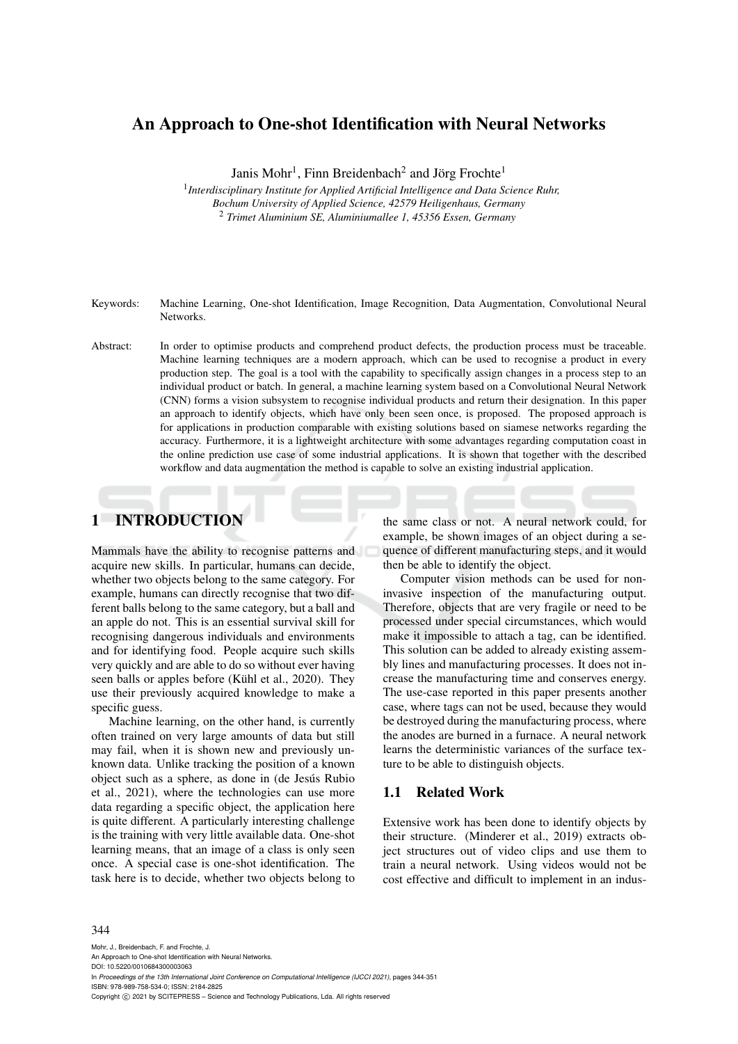# An Approach to One-shot Identification with Neural Networks

Janis Mohr<sup>1</sup>, Finn Breidenbach<sup>2</sup> and Jörg Frochte<sup>1</sup>

1 *Interdisciplinary Institute for Applied Artificial Intelligence and Data Science Ruhr, Bochum University of Applied Science, 42579 Heiligenhaus, Germany* <sup>2</sup> *Trimet Aluminium SE, Aluminiumallee 1, 45356 Essen, Germany*

- Keywords: Machine Learning, One-shot Identification, Image Recognition, Data Augmentation, Convolutional Neural Networks.
- Abstract: In order to optimise products and comprehend product defects, the production process must be traceable. Machine learning techniques are a modern approach, which can be used to recognise a product in every production step. The goal is a tool with the capability to specifically assign changes in a process step to an individual product or batch. In general, a machine learning system based on a Convolutional Neural Network (CNN) forms a vision subsystem to recognise individual products and return their designation. In this paper an approach to identify objects, which have only been seen once, is proposed. The proposed approach is for applications in production comparable with existing solutions based on siamese networks regarding the accuracy. Furthermore, it is a lightweight architecture with some advantages regarding computation coast in the online prediction use case of some industrial applications. It is shown that together with the described workflow and data augmentation the method is capable to solve an existing industrial application.

## 1 INTRODUCTION

Mammals have the ability to recognise patterns and acquire new skills. In particular, humans can decide, whether two objects belong to the same category. For example, humans can directly recognise that two different balls belong to the same category, but a ball and an apple do not. This is an essential survival skill for recognising dangerous individuals and environments and for identifying food. People acquire such skills very quickly and are able to do so without ever having seen balls or apples before (Kühl et al., 2020). They use their previously acquired knowledge to make a specific guess.

Machine learning, on the other hand, is currently often trained on very large amounts of data but still may fail, when it is shown new and previously unknown data. Unlike tracking the position of a known object such as a sphere, as done in (de Jesús Rubio et al., 2021), where the technologies can use more data regarding a specific object, the application here is quite different. A particularly interesting challenge is the training with very little available data. One-shot learning means, that an image of a class is only seen once. A special case is one-shot identification. The task here is to decide, whether two objects belong to

the same class or not. A neural network could, for example, be shown images of an object during a sequence of different manufacturing steps, and it would then be able to identify the object.

Computer vision methods can be used for noninvasive inspection of the manufacturing output. Therefore, objects that are very fragile or need to be processed under special circumstances, which would make it impossible to attach a tag, can be identified. This solution can be added to already existing assembly lines and manufacturing processes. It does not increase the manufacturing time and conserves energy. The use-case reported in this paper presents another case, where tags can not be used, because they would be destroyed during the manufacturing process, where the anodes are burned in a furnace. A neural network learns the deterministic variances of the surface texture to be able to distinguish objects.

### 1.1 Related Work

Extensive work has been done to identify objects by their structure. (Minderer et al., 2019) extracts object structures out of video clips and use them to train a neural network. Using videos would not be cost effective and difficult to implement in an indus-

#### 344

Mohr, J., Breidenbach, F. and Frochte, J. An Approach to One-shot Identification with Neural Networks. DOI: 10.5220/0010684300003063 In *Proceedings of the 13th International Joint Conference on Computational Intelligence (IJCCI 2021)*, pages 344-351 ISBN: 978-989-758-534-0; ISSN: 2184-2825 Copyright (C) 2021 by SCITEPRESS - Science and Technology Publications, Lda. All rights reserved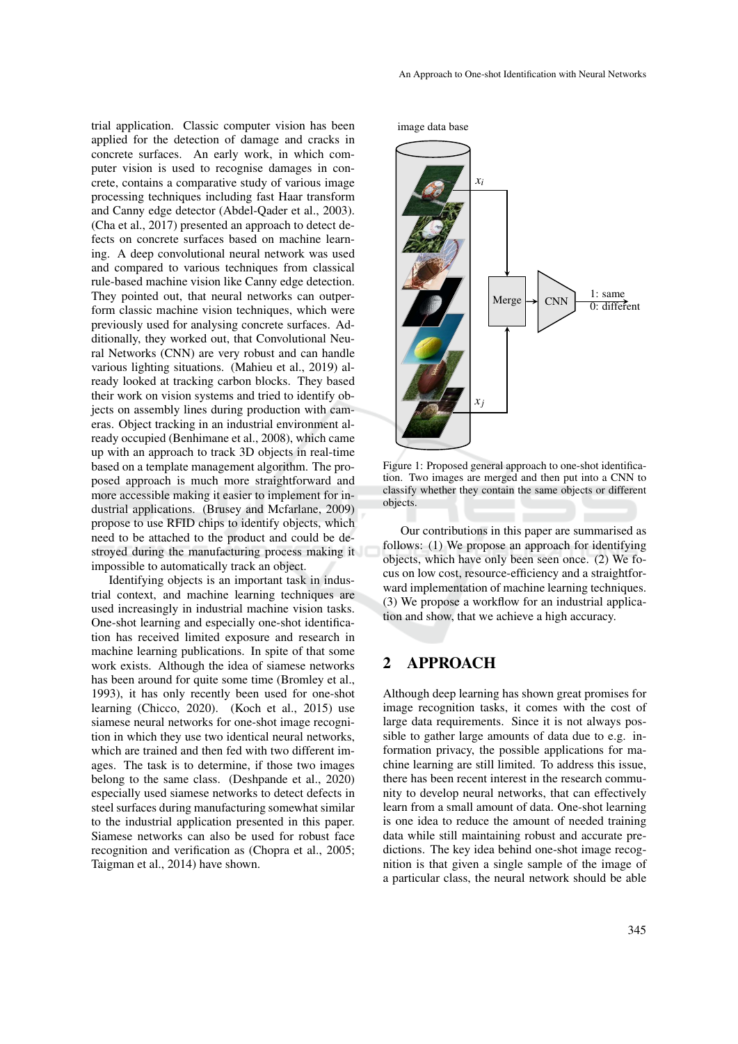trial application. Classic computer vision has been applied for the detection of damage and cracks in concrete surfaces. An early work, in which computer vision is used to recognise damages in concrete, contains a comparative study of various image processing techniques including fast Haar transform and Canny edge detector (Abdel-Qader et al., 2003). (Cha et al., 2017) presented an approach to detect defects on concrete surfaces based on machine learning. A deep convolutional neural network was used and compared to various techniques from classical rule-based machine vision like Canny edge detection. They pointed out, that neural networks can outperform classic machine vision techniques, which were previously used for analysing concrete surfaces. Additionally, they worked out, that Convolutional Neural Networks (CNN) are very robust and can handle various lighting situations. (Mahieu et al., 2019) already looked at tracking carbon blocks. They based their work on vision systems and tried to identify objects on assembly lines during production with cameras. Object tracking in an industrial environment already occupied (Benhimane et al., 2008), which came up with an approach to track 3D objects in real-time based on a template management algorithm. The proposed approach is much more straightforward and more accessible making it easier to implement for industrial applications. (Brusey and Mcfarlane, 2009) propose to use RFID chips to identify objects, which need to be attached to the product and could be destroyed during the manufacturing process making it impossible to automatically track an object.

Identifying objects is an important task in industrial context, and machine learning techniques are used increasingly in industrial machine vision tasks. One-shot learning and especially one-shot identification has received limited exposure and research in machine learning publications. In spite of that some work exists. Although the idea of siamese networks has been around for quite some time (Bromley et al., 1993), it has only recently been used for one-shot learning (Chicco, 2020). (Koch et al., 2015) use siamese neural networks for one-shot image recognition in which they use two identical neural networks, which are trained and then fed with two different images. The task is to determine, if those two images belong to the same class. (Deshpande et al., 2020) especially used siamese networks to detect defects in steel surfaces during manufacturing somewhat similar to the industrial application presented in this paper. Siamese networks can also be used for robust face recognition and verification as (Chopra et al., 2005; Taigman et al., 2014) have shown.

#### An Approach to One-shot Identification with Neural Networks

image data base



Figure 1: Proposed general approach to one-shot identification. Two images are merged and then put into a CNN to classify whether they contain the same objects or different objects.

Our contributions in this paper are summarised as follows: (1) We propose an approach for identifying objects, which have only been seen once. (2) We focus on low cost, resource-efficiency and a straightforward implementation of machine learning techniques. (3) We propose a workflow for an industrial application and show, that we achieve a high accuracy.

## 2 APPROACH

Although deep learning has shown great promises for image recognition tasks, it comes with the cost of large data requirements. Since it is not always possible to gather large amounts of data due to e.g. information privacy, the possible applications for machine learning are still limited. To address this issue, there has been recent interest in the research community to develop neural networks, that can effectively learn from a small amount of data. One-shot learning is one idea to reduce the amount of needed training data while still maintaining robust and accurate predictions. The key idea behind one-shot image recognition is that given a single sample of the image of a particular class, the neural network should be able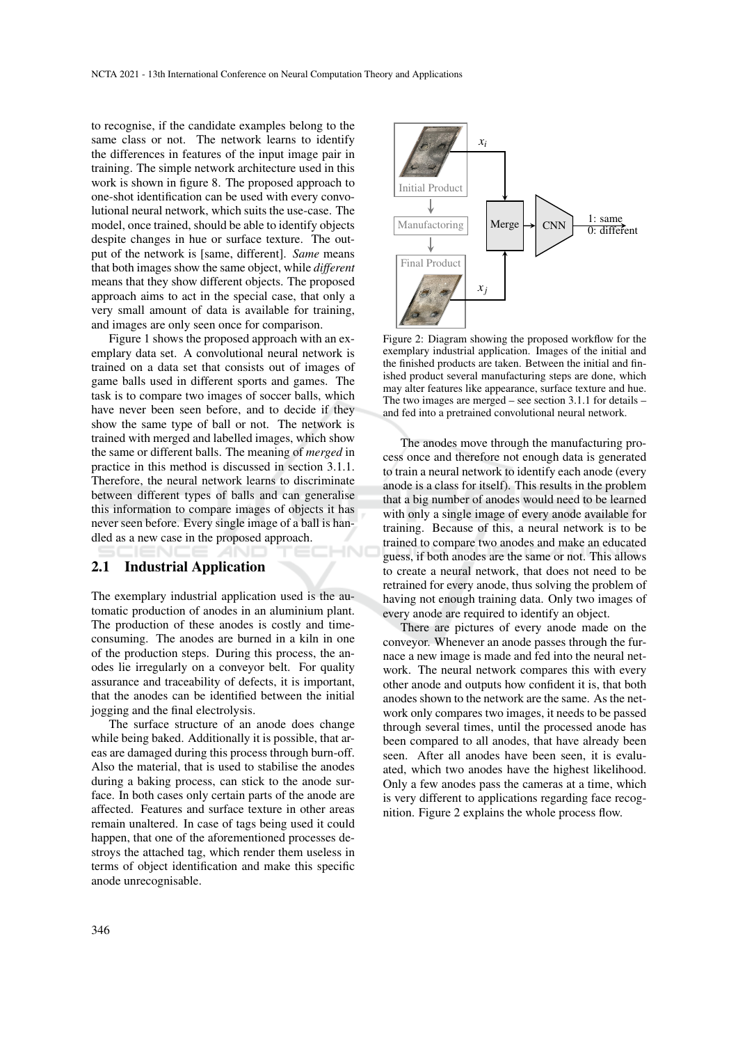to recognise, if the candidate examples belong to the same class or not. The network learns to identify the differences in features of the input image pair in training. The simple network architecture used in this work is shown in figure 8. The proposed approach to one-shot identification can be used with every convolutional neural network, which suits the use-case. The model, once trained, should be able to identify objects despite changes in hue or surface texture. The output of the network is [same, different]. *Same* means that both images show the same object, while *different* means that they show different objects. The proposed approach aims to act in the special case, that only a very small amount of data is available for training, and images are only seen once for comparison.

Figure 1 shows the proposed approach with an exemplary data set. A convolutional neural network is trained on a data set that consists out of images of game balls used in different sports and games. The task is to compare two images of soccer balls, which have never been seen before, and to decide if they show the same type of ball or not. The network is trained with merged and labelled images, which show the same or different balls. The meaning of *merged* in practice in this method is discussed in section 3.1.1. Therefore, the neural network learns to discriminate between different types of balls and can generalise this information to compare images of objects it has never seen before. Every single image of a ball is handled as a new case in the proposed approach. HN

#### 2.1 Industrial Application

The exemplary industrial application used is the automatic production of anodes in an aluminium plant. The production of these anodes is costly and timeconsuming. The anodes are burned in a kiln in one of the production steps. During this process, the anodes lie irregularly on a conveyor belt. For quality assurance and traceability of defects, it is important, that the anodes can be identified between the initial jogging and the final electrolysis.

The surface structure of an anode does change while being baked. Additionally it is possible, that areas are damaged during this process through burn-off. Also the material, that is used to stabilise the anodes during a baking process, can stick to the anode surface. In both cases only certain parts of the anode are affected. Features and surface texture in other areas remain unaltered. In case of tags being used it could happen, that one of the aforementioned processes destroys the attached tag, which render them useless in terms of object identification and make this specific anode unrecognisable.



Figure 2: Diagram showing the proposed workflow for the exemplary industrial application. Images of the initial and the finished products are taken. Between the initial and finished product several manufacturing steps are done, which may alter features like appearance, surface texture and hue. The two images are merged – see section 3.1.1 for details – and fed into a pretrained convolutional neural network.

The anodes move through the manufacturing process once and therefore not enough data is generated to train a neural network to identify each anode (every anode is a class for itself). This results in the problem that a big number of anodes would need to be learned with only a single image of every anode available for training. Because of this, a neural network is to be trained to compare two anodes and make an educated guess, if both anodes are the same or not. This allows to create a neural network, that does not need to be retrained for every anode, thus solving the problem of having not enough training data. Only two images of every anode are required to identify an object.

There are pictures of every anode made on the conveyor. Whenever an anode passes through the furnace a new image is made and fed into the neural network. The neural network compares this with every other anode and outputs how confident it is, that both anodes shown to the network are the same. As the network only compares two images, it needs to be passed through several times, until the processed anode has been compared to all anodes, that have already been seen. After all anodes have been seen, it is evaluated, which two anodes have the highest likelihood. Only a few anodes pass the cameras at a time, which is very different to applications regarding face recognition. Figure 2 explains the whole process flow.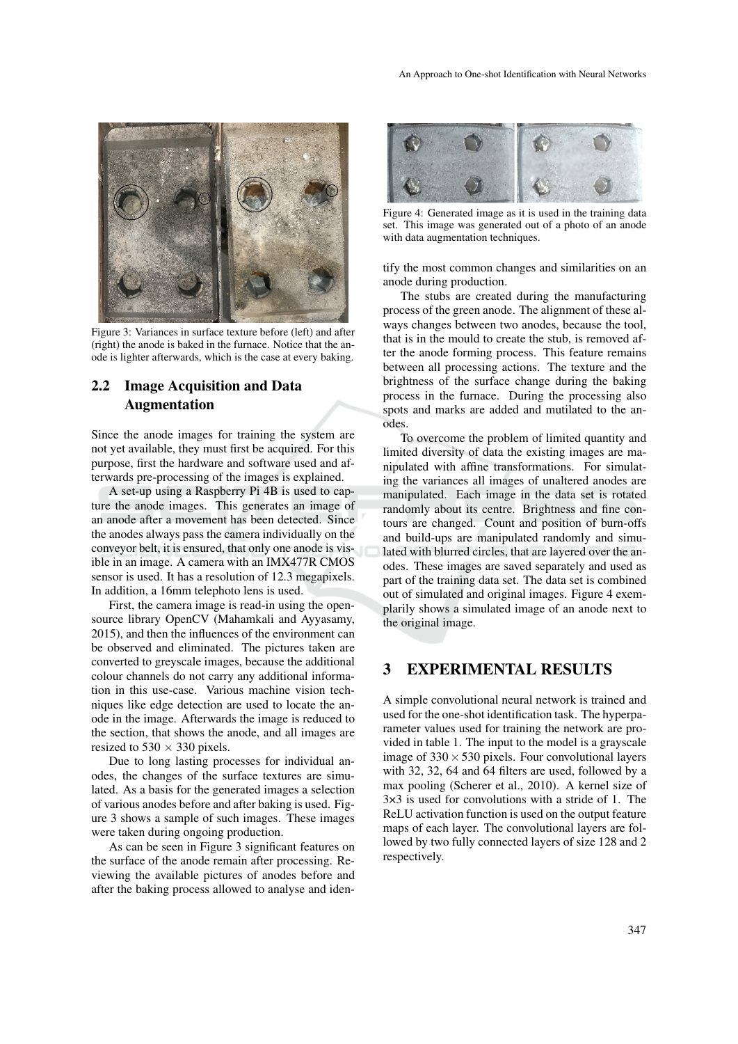

Figure 3: Variances in surface texture before (left) and after (right) the anode is baked in the furnace. Notice that the anode is lighter afterwards, which is the case at every baking.

## 2.2 Image Acquisition and Data Augmentation

Since the anode images for training the system are not yet available, they must first be acquired. For this purpose, first the hardware and software used and afterwards pre-processing of the images is explained.

A set-up using a Raspberry Pi 4B is used to capture the anode images. This generates an image of an anode after a movement has been detected. Since the anodes always pass the camera individually on the conveyor belt, it is ensured, that only one anode is visible in an image. A camera with an IMX477R CMOS sensor is used. It has a resolution of 12.3 megapixels. In addition, a 16mm telephoto lens is used.

First, the camera image is read-in using the opensource library OpenCV (Mahamkali and Ayyasamy, 2015), and then the influences of the environment can be observed and eliminated. The pictures taken are converted to greyscale images, because the additional colour channels do not carry any additional information in this use-case. Various machine vision techniques like edge detection are used to locate the anode in the image. Afterwards the image is reduced to the section, that shows the anode, and all images are resized to  $530 \times 330$  pixels.

Due to long lasting processes for individual anodes, the changes of the surface textures are simulated. As a basis for the generated images a selection of various anodes before and after baking is used. Figure 3 shows a sample of such images. These images were taken during ongoing production.

As can be seen in Figure 3 significant features on the surface of the anode remain after processing. Reviewing the available pictures of anodes before and after the baking process allowed to analyse and iden-



Figure 4: Generated image as it is used in the training data set. This image was generated out of a photo of an anode with data augmentation techniques.

tify the most common changes and similarities on an anode during production.

The stubs are created during the manufacturing process of the green anode. The alignment of these always changes between two anodes, because the tool, that is in the mould to create the stub, is removed after the anode forming process. This feature remains between all processing actions. The texture and the brightness of the surface change during the baking process in the furnace. During the processing also spots and marks are added and mutilated to the anodes.

To overcome the problem of limited quantity and limited diversity of data the existing images are manipulated with affine transformations. For simulating the variances all images of unaltered anodes are manipulated. Each image in the data set is rotated randomly about its centre. Brightness and fine contours are changed. Count and position of burn-offs and build-ups are manipulated randomly and simulated with blurred circles, that are layered over the anodes. These images are saved separately and used as part of the training data set. The data set is combined out of simulated and original images. Figure 4 exemplarily shows a simulated image of an anode next to the original image.

### 3 EXPERIMENTAL RESULTS

A simple convolutional neural network is trained and used for the one-shot identification task. The hyperparameter values used for training the network are provided in table 1. The input to the model is a grayscale image of  $330 \times 530$  pixels. Four convolutional layers with 32, 32, 64 and 64 filters are used, followed by a max pooling (Scherer et al., 2010). A kernel size of 3×3 is used for convolutions with a stride of 1. The ReLU activation function is used on the output feature maps of each layer. The convolutional layers are followed by two fully connected layers of size 128 and 2 respectively.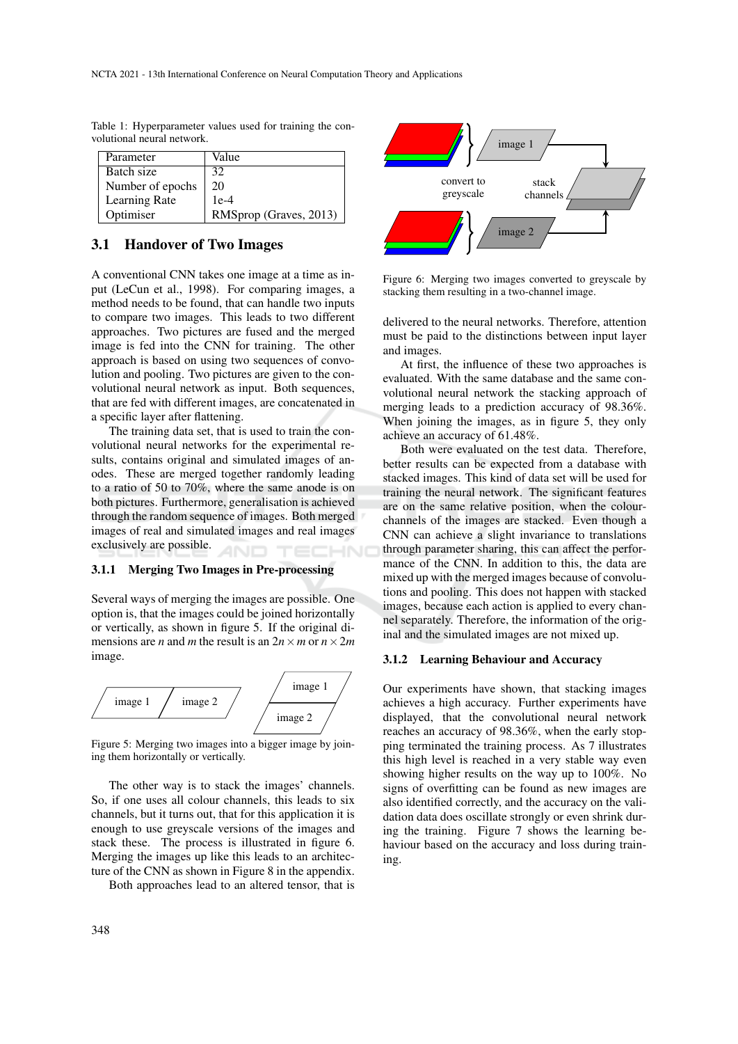| Parameter        | Value                  |
|------------------|------------------------|
| Batch size       | 32                     |
| Number of epochs | 20                     |
| Learning Rate    | $1e-4$                 |
| Optimiser        | RMSprop (Graves, 2013) |

Table 1: Hyperparameter values used for training the convolutional neural network.

### 3.1 Handover of Two Images

A conventional CNN takes one image at a time as input (LeCun et al., 1998). For comparing images, a method needs to be found, that can handle two inputs to compare two images. This leads to two different approaches. Two pictures are fused and the merged image is fed into the CNN for training. The other approach is based on using two sequences of convolution and pooling. Two pictures are given to the convolutional neural network as input. Both sequences, that are fed with different images, are concatenated in a specific layer after flattening.

The training data set, that is used to train the convolutional neural networks for the experimental results, contains original and simulated images of anodes. These are merged together randomly leading to a ratio of 50 to 70%, where the same anode is on both pictures. Furthermore, generalisation is achieved through the random sequence of images. Both merged images of real and simulated images and real images exclusively are possible.

#### 3.1.1 Merging Two Images in Pre-processing

Several ways of merging the images are possible. One option is, that the images could be joined horizontally or vertically, as shown in figure 5. If the original dimensions are *n* and *m* the result is an  $2n \times m$  or  $n \times 2m$ image.



Figure 5: Merging two images into a bigger image by joining them horizontally or vertically.

The other way is to stack the images' channels. So, if one uses all colour channels, this leads to six channels, but it turns out, that for this application it is enough to use greyscale versions of the images and stack these. The process is illustrated in figure 6. Merging the images up like this leads to an architecture of the CNN as shown in Figure 8 in the appendix.

Both approaches lead to an altered tensor, that is



Figure 6: Merging two images converted to greyscale by stacking them resulting in a two-channel image.

delivered to the neural networks. Therefore, attention must be paid to the distinctions between input layer and images.

At first, the influence of these two approaches is evaluated. With the same database and the same convolutional neural network the stacking approach of merging leads to a prediction accuracy of 98.36%. When joining the images, as in figure 5, they only achieve an accuracy of 61.48%.

Both were evaluated on the test data. Therefore, better results can be expected from a database with stacked images. This kind of data set will be used for training the neural network. The significant features are on the same relative position, when the colourchannels of the images are stacked. Even though a CNN can achieve a slight invariance to translations through parameter sharing, this can affect the performance of the CNN. In addition to this, the data are mixed up with the merged images because of convolutions and pooling. This does not happen with stacked images, because each action is applied to every channel separately. Therefore, the information of the original and the simulated images are not mixed up.

#### 3.1.2 Learning Behaviour and Accuracy

Our experiments have shown, that stacking images achieves a high accuracy. Further experiments have displayed, that the convolutional neural network reaches an accuracy of 98.36%, when the early stopping terminated the training process. As 7 illustrates this high level is reached in a very stable way even showing higher results on the way up to 100%. No signs of overfitting can be found as new images are also identified correctly, and the accuracy on the validation data does oscillate strongly or even shrink during the training. Figure 7 shows the learning behaviour based on the accuracy and loss during training.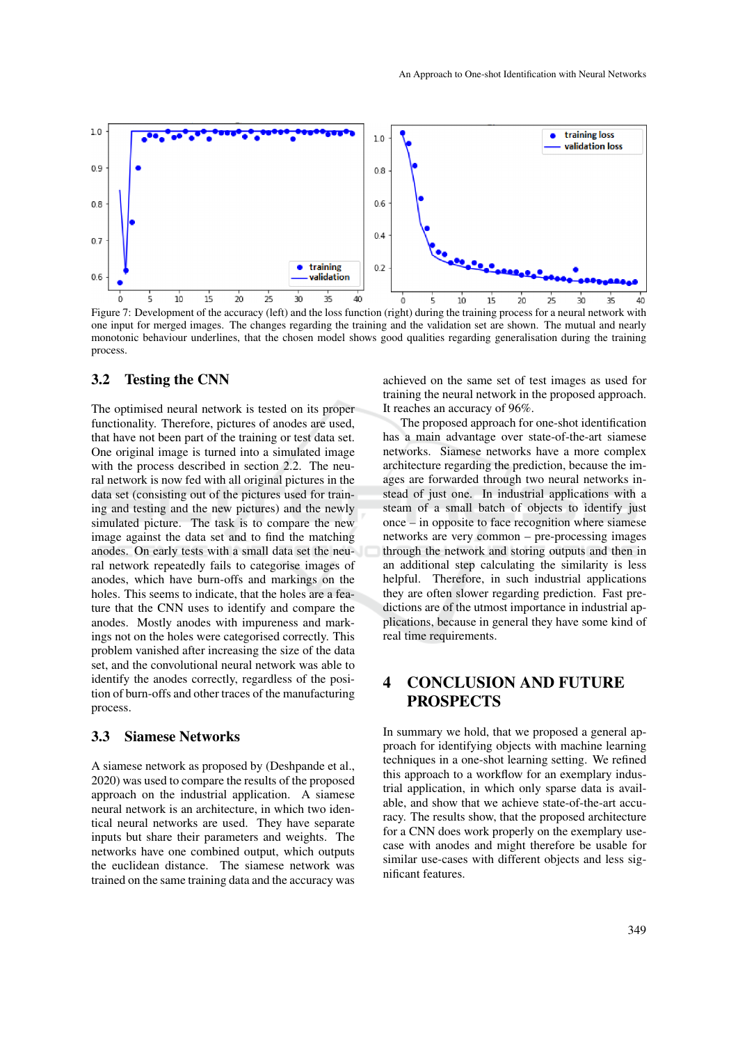

Figure 7: Development of the accuracy (left) and the loss function (right) during the training process for a neural network with one input for merged images. The changes regarding the training and the validation set are shown. The mutual and nearly monotonic behaviour underlines, that the chosen model shows good qualities regarding generalisation during the training process.

### 3.2 Testing the CNN

The optimised neural network is tested on its proper functionality. Therefore, pictures of anodes are used, that have not been part of the training or test data set. One original image is turned into a simulated image with the process described in section 2.2. The neural network is now fed with all original pictures in the data set (consisting out of the pictures used for training and testing and the new pictures) and the newly simulated picture. The task is to compare the new image against the data set and to find the matching anodes. On early tests with a small data set the neural network repeatedly fails to categorise images of anodes, which have burn-offs and markings on the holes. This seems to indicate, that the holes are a feature that the CNN uses to identify and compare the anodes. Mostly anodes with impureness and markings not on the holes were categorised correctly. This problem vanished after increasing the size of the data set, and the convolutional neural network was able to identify the anodes correctly, regardless of the position of burn-offs and other traces of the manufacturing process.

#### 3.3 Siamese Networks

A siamese network as proposed by (Deshpande et al., 2020) was used to compare the results of the proposed approach on the industrial application. A siamese neural network is an architecture, in which two identical neural networks are used. They have separate inputs but share their parameters and weights. The networks have one combined output, which outputs the euclidean distance. The siamese network was trained on the same training data and the accuracy was achieved on the same set of test images as used for training the neural network in the proposed approach. It reaches an accuracy of 96%.

The proposed approach for one-shot identification has a main advantage over state-of-the-art siamese networks. Siamese networks have a more complex architecture regarding the prediction, because the images are forwarded through two neural networks instead of just one. In industrial applications with a steam of a small batch of objects to identify just once – in opposite to face recognition where siamese networks are very common – pre-processing images through the network and storing outputs and then in an additional step calculating the similarity is less helpful. Therefore, in such industrial applications they are often slower regarding prediction. Fast predictions are of the utmost importance in industrial applications, because in general they have some kind of real time requirements.

## 4 CONCLUSION AND FUTURE **PROSPECTS**

In summary we hold, that we proposed a general approach for identifying objects with machine learning techniques in a one-shot learning setting. We refined this approach to a workflow for an exemplary industrial application, in which only sparse data is available, and show that we achieve state-of-the-art accuracy. The results show, that the proposed architecture for a CNN does work properly on the exemplary usecase with anodes and might therefore be usable for similar use-cases with different objects and less significant features.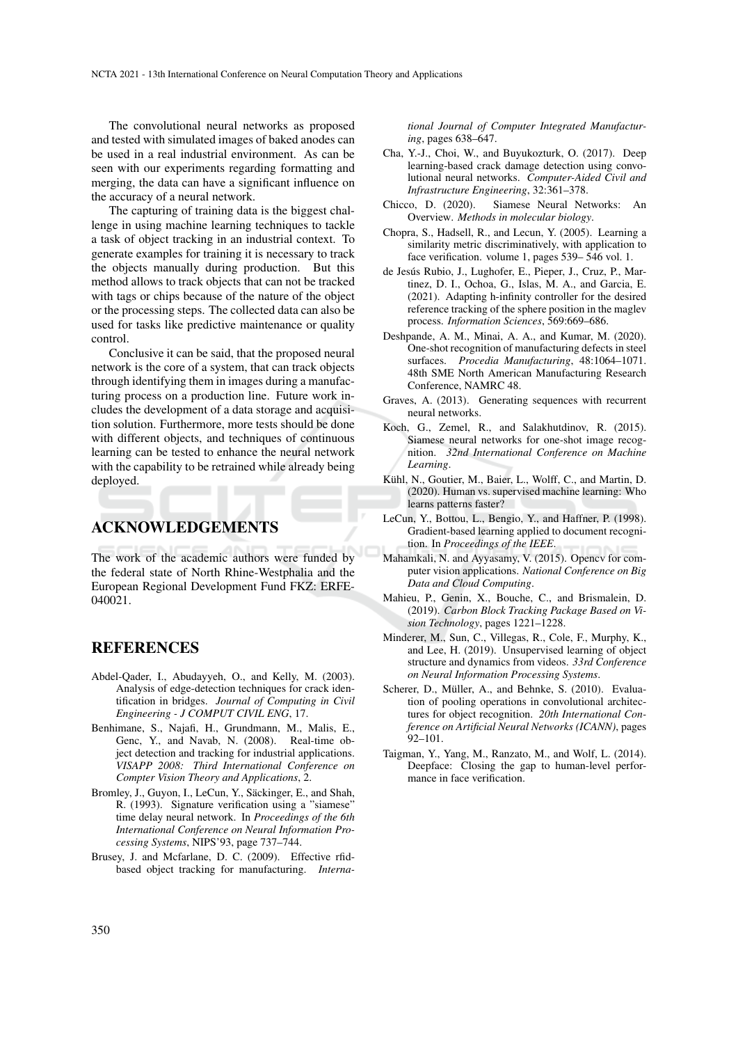The convolutional neural networks as proposed and tested with simulated images of baked anodes can be used in a real industrial environment. As can be seen with our experiments regarding formatting and merging, the data can have a significant influence on the accuracy of a neural network.

The capturing of training data is the biggest challenge in using machine learning techniques to tackle a task of object tracking in an industrial context. To generate examples for training it is necessary to track the objects manually during production. But this method allows to track objects that can not be tracked with tags or chips because of the nature of the object or the processing steps. The collected data can also be used for tasks like predictive maintenance or quality control.

Conclusive it can be said, that the proposed neural network is the core of a system, that can track objects through identifying them in images during a manufacturing process on a production line. Future work includes the development of a data storage and acquisition solution. Furthermore, more tests should be done with different objects, and techniques of continuous learning can be tested to enhance the neural network with the capability to be retrained while already being deployed.

## ACKNOWLEDGEMENTS

The work of the academic authors were funded by the federal state of North Rhine-Westphalia and the European Regional Development Fund FKZ: ERFE-040021.

### **REFERENCES**

- Abdel-Qader, I., Abudayyeh, O., and Kelly, M. (2003). Analysis of edge-detection techniques for crack identification in bridges. *Journal of Computing in Civil Engineering - J COMPUT CIVIL ENG*, 17.
- Benhimane, S., Najafi, H., Grundmann, M., Malis, E., Genc, Y., and Navab, N. (2008). Real-time object detection and tracking for industrial applications. *VISAPP 2008: Third International Conference on Compter Vision Theory and Applications*, 2.
- Bromley, J., Guyon, I., LeCun, Y., Säckinger, E., and Shah, R. (1993). Signature verification using a "siamese" time delay neural network. In *Proceedings of the 6th International Conference on Neural Information Processing Systems*, NIPS'93, page 737–744.
- Brusey, J. and Mcfarlane, D. C. (2009). Effective rfidbased object tracking for manufacturing. *Interna-*

*tional Journal of Computer Integrated Manufacturing*, pages 638–647.

- Cha, Y.-J., Choi, W., and Buyukozturk, O. (2017). Deep learning-based crack damage detection using convolutional neural networks. *Computer-Aided Civil and Infrastructure Engineering*, 32:361–378.
- Chicco, D. (2020). Siamese Neural Networks: An Overview. *Methods in molecular biology*.
- Chopra, S., Hadsell, R., and Lecun, Y. (2005). Learning a similarity metric discriminatively, with application to face verification. volume 1, pages 539– 546 vol. 1.
- de Jesús Rubio, J., Lughofer, E., Pieper, J., Cruz, P., Martinez, D. I., Ochoa, G., Islas, M. A., and Garcia, E. (2021). Adapting h-infinity controller for the desired reference tracking of the sphere position in the maglev process. *Information Sciences*, 569:669–686.
- Deshpande, A. M., Minai, A. A., and Kumar, M. (2020). One-shot recognition of manufacturing defects in steel surfaces. *Procedia Manufacturing*, 48:1064–1071. 48th SME North American Manufacturing Research Conference, NAMRC 48.
- Graves, A. (2013). Generating sequences with recurrent neural networks.
- Koch, G., Zemel, R., and Salakhutdinov, R. (2015). Siamese neural networks for one-shot image recognition. *32nd International Conference on Machine Learning*.
- Kühl, N., Goutier, M., Baier, L., Wolff, C., and Martin, D. (2020). Human vs. supervised machine learning: Who learns patterns faster?
- LeCun, Y., Bottou, L., Bengio, Y., and Haffner, P. (1998). Gradient-based learning applied to document recognition. In *Proceedings of the IEEE*.
- Mahamkali, N. and Ayyasamy, V. (2015). Opencv for computer vision applications. *National Conference on Big Data and Cloud Computing*.
- Mahieu, P., Genin, X., Bouche, C., and Brismalein, D. (2019). *Carbon Block Tracking Package Based on Vision Technology*, pages 1221–1228.
- Minderer, M., Sun, C., Villegas, R., Cole, F., Murphy, K., and Lee, H. (2019). Unsupervised learning of object structure and dynamics from videos. *33rd Conference on Neural Information Processing Systems*.
- Scherer, D., Müller, A., and Behnke, S. (2010). Evaluation of pooling operations in convolutional architectures for object recognition. *20th International Conference on Artificial Neural Networks (ICANN)*, pages 92–101.
- Taigman, Y., Yang, M., Ranzato, M., and Wolf, L. (2014). Deepface: Closing the gap to human-level performance in face verification.